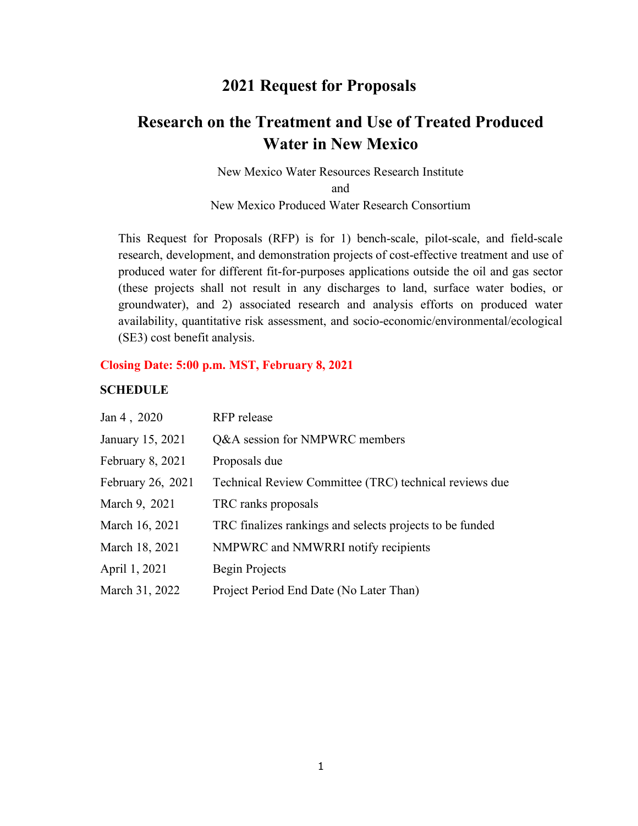## **2021 Request for Proposals**

# **Research on the Treatment and Use of Treated Produced Water in New Mexico**

New Mexico Water Resources Research Institute and New Mexico Produced Water Research Consortium

This Request for Proposals (RFP) is for 1) bench-scale, pilot-scale, and field-scale research, development, and demonstration projects of cost-effective treatment and use of produced water for different fit-for-purposes applications outside the oil and gas sector (these projects shall not result in any discharges to land, surface water bodies, or groundwater), and 2) associated research and analysis efforts on produced water availability, quantitative risk assessment, and socio-economic/environmental/ecological (SE3) cost benefit analysis.

#### **Closing Date: 5:00 p.m. MST, February 8, 2021**

#### **SCHEDULE**

| Jan 4, 2020       | RFP release                                              |
|-------------------|----------------------------------------------------------|
| January 15, 2021  | Q&A session for NMPWRC members                           |
| February 8, 2021  | Proposals due                                            |
| February 26, 2021 | Technical Review Committee (TRC) technical reviews due   |
| March 9, 2021     | TRC ranks proposals                                      |
| March 16, 2021    | TRC finalizes rankings and selects projects to be funded |
| March 18, 2021    | NMPWRC and NMWRRI notify recipients                      |
| April 1, 2021     | Begin Projects                                           |
| March 31, 2022    | Project Period End Date (No Later Than)                  |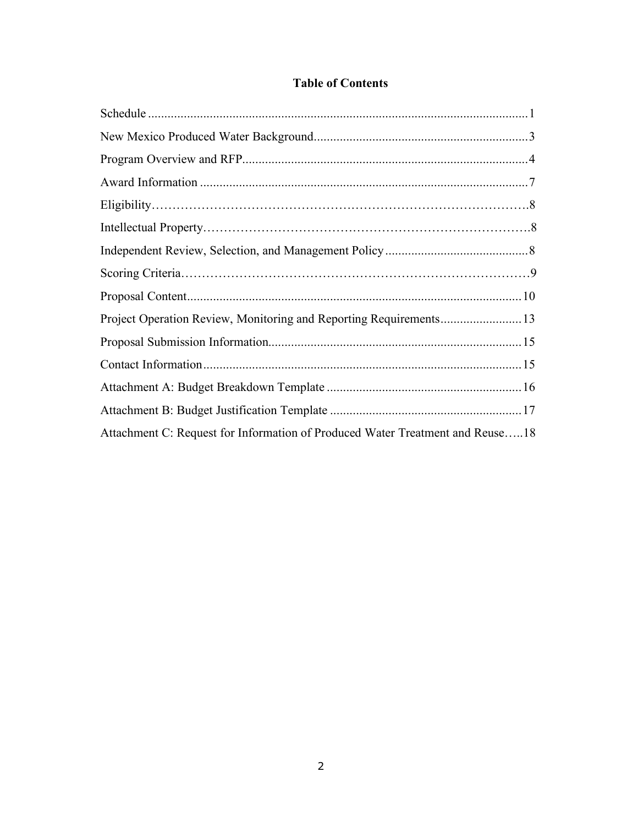| Attachment C: Request for Information of Produced Water Treatment and Reuse18 |  |
|-------------------------------------------------------------------------------|--|

## **Table of Contents**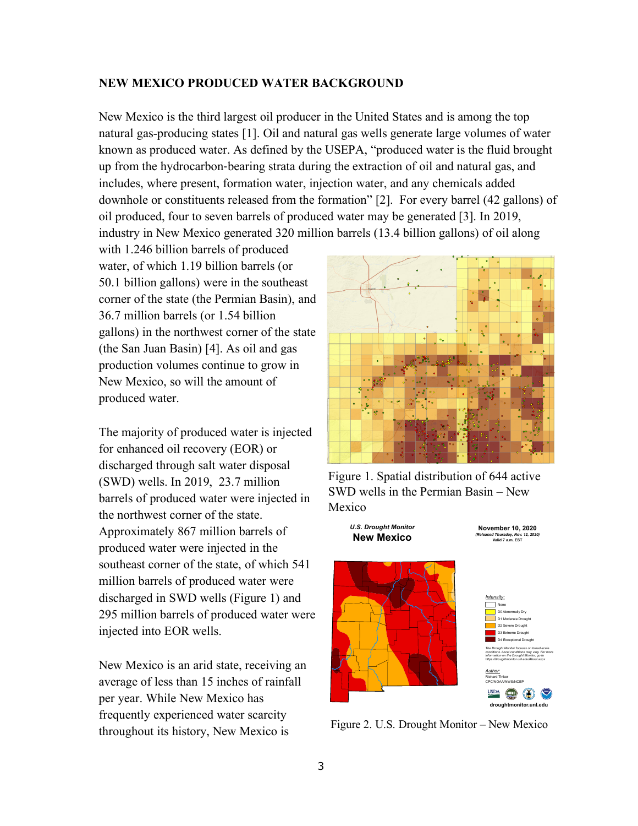#### **NEW MEXICO PRODUCED WATER BACKGROUND**

New Mexico is the third largest oil producer in the United States and is among the top natural gas-producing states [1]. Oil and natural gas wells generate large volumes of water known as produced water. As defined by the USEPA, "produced water is the fluid brought up from the hydrocarbon-bearing strata during the extraction of oil and natural gas, and includes, where present, formation water, injection water, and any chemicals added downhole or constituents released from the formation" [2]. For every barrel (42 gallons) of oil produced, four to seven barrels of produced water may be generated [3]. In 2019, industry in New Mexico generated 320 million barrels (13.4 billion gallons) of oil along

with 1.246 billion barrels of produced water, of which 1.19 billion barrels (or 50.1 billion gallons) were in the southeast corner of the state (the Permian Basin), and 36.7 million barrels (or 1.54 billion gallons) in the northwest corner of the state (the San Juan Basin) [4]. As oil and gas production volumes continue to grow in New Mexico, so will the amount of produced water.

The majority of produced water is injected for enhanced oil recovery (EOR) or discharged through salt water disposal (SWD) wells. In 2019, 23.7 million barrels of produced water were injected in the northwest corner of the state. Approximately 867 million barrels of produced water were injected in the southeast corner of the state, of which 541 million barrels of produced water were discharged in SWD wells (Figure 1) and 295 million barrels of produced water were injected into EOR wells.

New Mexico is an arid state, receiving an average of less than 15 inches of rainfall per year. While New Mexico has frequently experienced water scarcity throughout its history, New Mexico is



Figure 1. Spatial distribution of 644 active SWD wells in the Permian Basin – New Mexico



Figure 2. U.S. Drought Monitor – New Mexico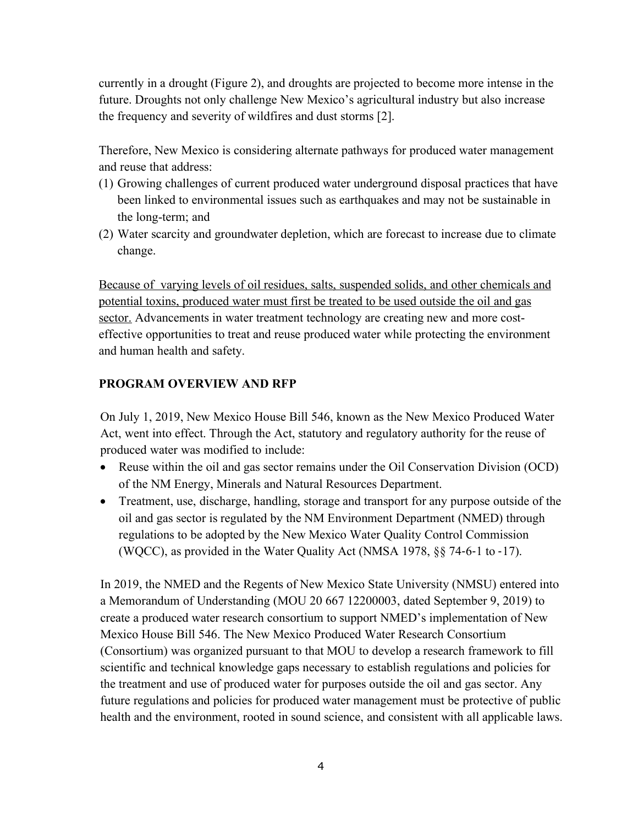currently in a drought (Figure 2), and droughts are projected to become more intense in the future. Droughts not only challenge New Mexico's agricultural industry but also increase the frequency and severity of wildfires and dust storms [2].

Therefore, New Mexico is considering alternate pathways for produced water management and reuse that address:

- (1) Growing challenges of current produced water underground disposal practices that have been linked to environmental issues such as earthquakes and may not be sustainable in the long-term; and
- (2) Water scarcity and groundwater depletion, which are forecast to increase due to climate change.

Because of varying levels of oil residues, salts, suspended solids, and other chemicals and potential toxins, produced water must first be treated to be used outside the oil and gas sector. Advancements in water treatment technology are creating new and more costeffective opportunities to treat and reuse produced water while protecting the environment and human health and safety.

### **PROGRAM OVERVIEW AND RFP**

On July 1, 2019, New Mexico House Bill 546, known as the New Mexico Produced Water Act, went into effect. Through the Act, statutory and regulatory authority for the reuse of produced water was modified to include:

- Reuse within the oil and gas sector remains under the Oil Conservation Division (OCD) of the NM Energy, Minerals and Natural Resources Department.
- Treatment, use, discharge, handling, storage and transport for any purpose outside of the oil and gas sector is regulated by the NM Environment Department (NMED) through regulations to be adopted by the New Mexico Water Quality Control Commission (WQCC), as provided in the Water Quality Act (NMSA 1978, §§ 74-6-1 to -17).

In 2019, the NMED and the Regents of New Mexico State University (NMSU) entered into a Memorandum of Understanding (MOU 20 667 12200003, dated September 9, 2019) to create a produced water research consortium to support NMED's implementation of New Mexico House Bill 546. The New Mexico Produced Water Research Consortium (Consortium) was organized pursuant to that MOU to develop a research framework to fill scientific and technical knowledge gaps necessary to establish regulations and policies for the treatment and use of produced water for purposes outside the oil and gas sector. Any future regulations and policies for produced water management must be protective of public health and the environment, rooted in sound science, and consistent with all applicable laws.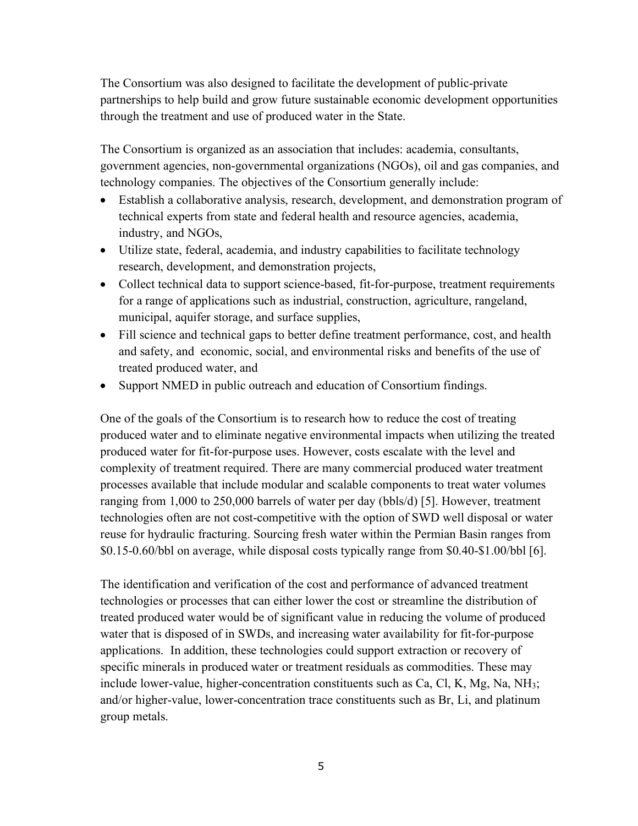The Consortium was also designed to facilitate the development of public-private partnerships to help build and grow future sustainable economic development opportunities through the treatment and use of produced water in the State.

The Consortium is organized as an association that includes: academia, consultants, government agencies, non-governmental organizations (NGOs), oil and gas companies, and technology companies. The objectives of the Consortium generally include:

- Establish a collaborative analysis, research, development, and demonstration program of technical experts from state and federal health and resource agencies, academia, industry, and NGOs,
- Utilize state, federal, academia, and industry capabilities to facilitate technology research, development, and demonstration projects,
- Collect technical data to support science-based, fit-for-purpose, treatment requirements for a range of applications such as industrial, construction, agriculture, rangeland, municipal, aquifer storage, and surface supplies,
- Fill science and technical gaps to better define treatment performance, cost, and health and safety, and economic, social, and environmental risks and benefits of the use of treated produced water, and
- Support NMED in public outreach and education of Consortium findings.

One of the goals of the Consortium is to research how to reduce the cost of treating produced water and to eliminate negative environmental impacts when utilizing the treated produced water for fit-for-purpose uses. However, costs escalate with the level and complexity of treatment required. There are many commercial produced water treatment processes available that include modular and scalable components to treat water volumes ranging from 1,000 to 250,000 barrels of water per day (bbls/d) [5]. However, treatment technologies often are not cost-competitive with the option of SWD well disposal or water reuse for hydraulic fracturing. Sourcing fresh water within the Permian Basin ranges from \$0.15-0.60/bbl on average, while disposal costs typically range from \$0.40-\$1.00/bbl [6].

The identification and verification of the cost and performance of advanced treatment technologies or processes that can either lower the cost or streamline the distribution of treated produced water would be of significant value in reducing the volume of produced water that is disposed of in SWDs, and increasing water availability for fit-for-purpose applications. In addition, these technologies could support extraction or recovery of specific minerals in produced water or treatment residuals as commodities. These may include lower-value, higher-concentration constituents such as Ca, Cl, K, Mg, Na, NH<sub>3</sub>; and/or higher-value, lower-concentration trace constituents such as Br, Li, and platinum group metals.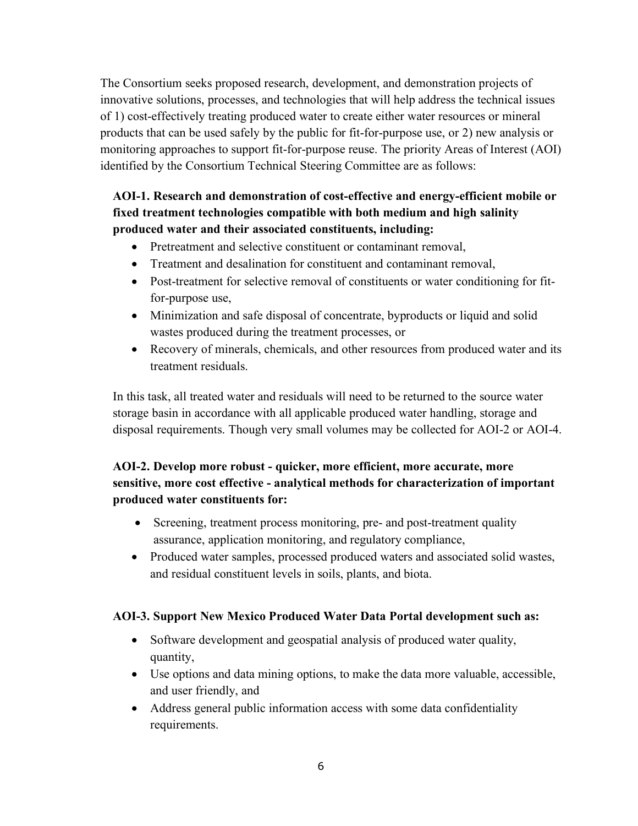The Consortium seeks proposed research, development, and demonstration projects of innovative solutions, processes, and technologies that will help address the technical issues of 1) cost-effectively treating produced water to create either water resources or mineral products that can be used safely by the public for fit-for-purpose use, or 2) new analysis or monitoring approaches to support fit-for-purpose reuse. The priority Areas of Interest (AOI) identified by the Consortium Technical Steering Committee are as follows:

## **AOI-1. Research and demonstration of cost-effective and energy-efficient mobile or fixed treatment technologies compatible with both medium and high salinity produced water and their associated constituents, including:**

- Pretreatment and selective constituent or contaminant removal,
- Treatment and desalination for constituent and contaminant removal,
- Post-treatment for selective removal of constituents or water conditioning for fitfor-purpose use,
- Minimization and safe disposal of concentrate, byproducts or liquid and solid wastes produced during the treatment processes, or
- Recovery of minerals, chemicals, and other resources from produced water and its treatment residuals.

In this task, all treated water and residuals will need to be returned to the source water storage basin in accordance with all applicable produced water handling, storage and disposal requirements. Though very small volumes may be collected for AOI-2 or AOI-4.

## **AOI-2. Develop more robust - quicker, more efficient, more accurate, more sensitive, more cost effective - analytical methods for characterization of important produced water constituents for:**

- Screening, treatment process monitoring, pre- and post-treatment quality assurance, application monitoring, and regulatory compliance,
- Produced water samples, processed produced waters and associated solid wastes, and residual constituent levels in soils, plants, and biota.

## **AOI-3. Support New Mexico Produced Water Data Portal development such as:**

- Software development and geospatial analysis of produced water quality, quantity,
- Use options and data mining options, to make the data more valuable, accessible, and user friendly, and
- Address general public information access with some data confidentiality requirements.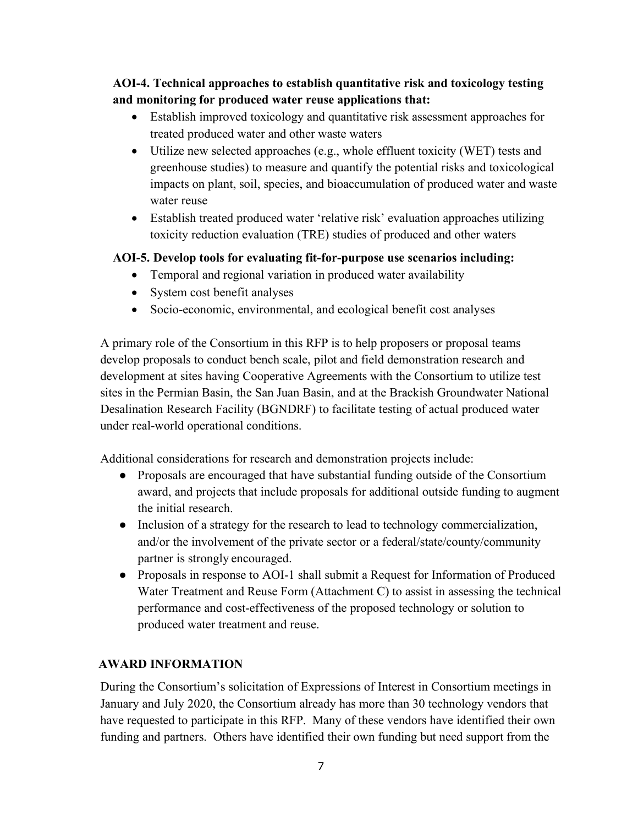**AOI-4. Technical approaches to establish quantitative risk and toxicology testing and monitoring for produced water reuse applications that:**

- Establish improved toxicology and quantitative risk assessment approaches for treated produced water and other waste waters
- Utilize new selected approaches (e.g., whole effluent toxicity (WET) tests and greenhouse studies) to measure and quantify the potential risks and toxicological impacts on plant, soil, species, and bioaccumulation of produced water and waste water reuse
- Establish treated produced water 'relative risk' evaluation approaches utilizing toxicity reduction evaluation (TRE) studies of produced and other waters

## **AOI-5. Develop tools for evaluating fit-for-purpose use scenarios including:**

- Temporal and regional variation in produced water availability
- System cost benefit analyses
- Socio-economic, environmental, and ecological benefit cost analyses

A primary role of the Consortium in this RFP is to help proposers or proposal teams develop proposals to conduct bench scale, pilot and field demonstration research and development at sites having Cooperative Agreements with the Consortium to utilize test sites in the Permian Basin, the San Juan Basin, and at the Brackish Groundwater National Desalination Research Facility (BGNDRF) to facilitate testing of actual produced water under real-world operational conditions.

Additional considerations for research and demonstration projects include:

- Proposals are encouraged that have substantial funding outside of the Consortium award, and projects that include proposals for additional outside funding to augment the initial research.
- Inclusion of a strategy for the research to lead to technology commercialization, and/or the involvement of the private sector or a federal/state/county/community partner is strongly encouraged.
- Proposals in response to AOI-1 shall submit a Request for Information of Produced Water Treatment and Reuse Form (Attachment C) to assist in assessing the technical performance and cost-effectiveness of the proposed technology or solution to produced water treatment and reuse.

## **AWARD INFORMATION**

During the Consortium's solicitation of Expressions of Interest in Consortium meetings in January and July 2020, the Consortium already has more than 30 technology vendors that have requested to participate in this RFP. Many of these vendors have identified their own funding and partners. Others have identified their own funding but need support from the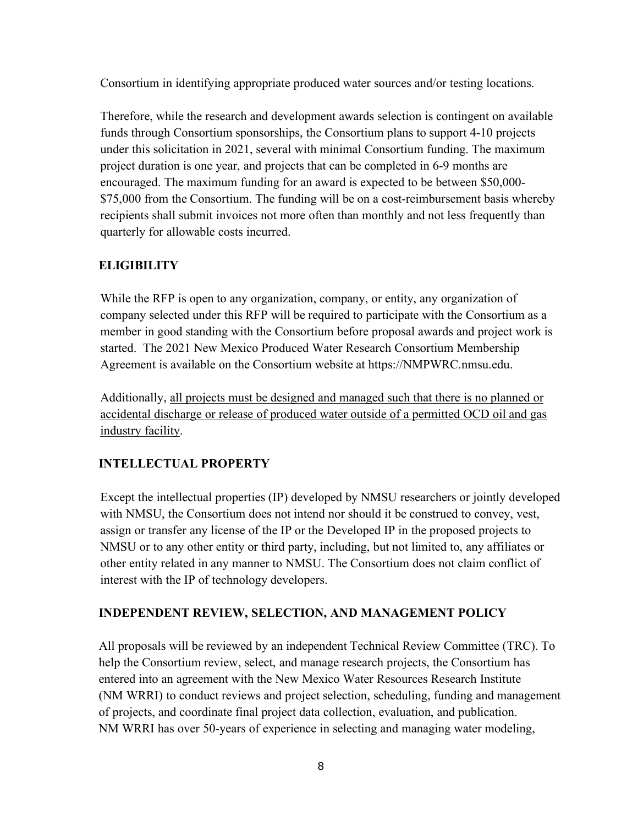Consortium in identifying appropriate produced water sources and/or testing locations.

Therefore, while the research and development awards selection is contingent on available funds through Consortium sponsorships, the Consortium plans to support 4-10 projects under this solicitation in 2021, several with minimal Consortium funding. The maximum project duration is one year, and projects that can be completed in 6-9 months are encouraged. The maximum funding for an award is expected to be between \$50,000- \$75,000 from the Consortium. The funding will be on a cost-reimbursement basis whereby recipients shall submit invoices not more often than monthly and not less frequently than quarterly for allowable costs incurred.

## **ELIGIBILITY**

While the RFP is open to any organization, company, or entity, any organization of company selected under this RFP will be required to participate with the Consortium as a member in good standing with the Consortium before proposal awards and project work is started. The 2021 New Mexico Produced Water Research Consortium Membership Agreement is available on the Consortium website at https://NMPWRC.nmsu.edu.

Additionally, all projects must be designed and managed such that there is no planned or accidental discharge or release of produced water outside of a permitted OCD oil and gas industry facility.

## **INTELLECTUAL PROPERTY**

Except the intellectual properties (IP) developed by NMSU researchers or jointly developed with NMSU, the Consortium does not intend nor should it be construed to convey, vest, assign or transfer any license of the IP or the Developed IP in the proposed projects to NMSU or to any other entity or third party, including, but not limited to, any affiliates or other entity related in any manner to NMSU. The Consortium does not claim conflict of interest with the IP of technology developers.

## **INDEPENDENT REVIEW, SELECTION, AND MANAGEMENT POLICY**

All proposals will be reviewed by an independent Technical Review Committee (TRC). To help the Consortium review, select, and manage research projects, the Consortium has entered into an agreement with the New Mexico Water Resources Research Institute (NM WRRI) to conduct reviews and project selection, scheduling, funding and management of projects, and coordinate final project data collection, evaluation, and publication. NM WRRI has over 50-years of experience in selecting and managing water modeling,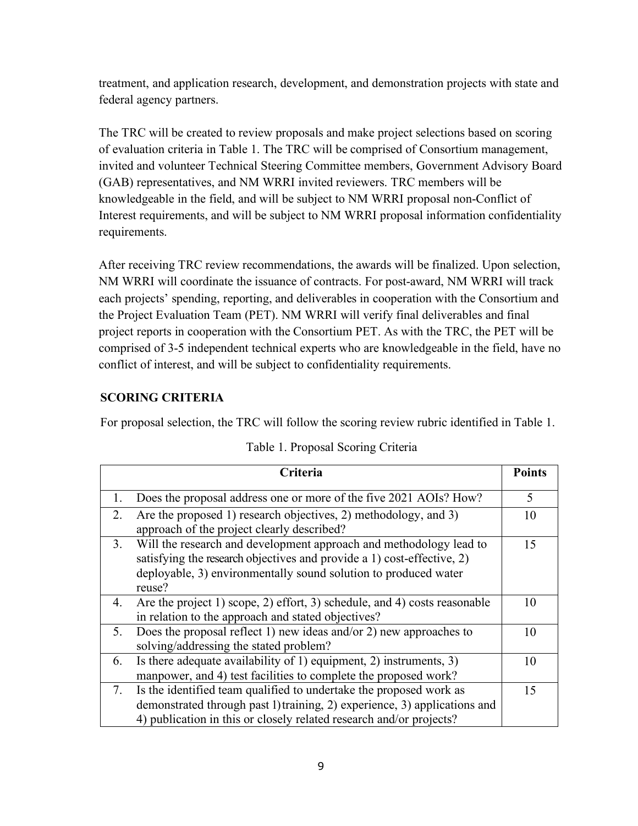treatment, and application research, development, and demonstration projects with state and federal agency partners.

The TRC will be created to review proposals and make project selections based on scoring of evaluation criteria in Table 1. The TRC will be comprised of Consortium management, invited and volunteer Technical Steering Committee members, Government Advisory Board (GAB) representatives, and NM WRRI invited reviewers. TRC members will be knowledgeable in the field, and will be subject to NM WRRI proposal non-Conflict of Interest requirements, and will be subject to NM WRRI proposal information confidentiality requirements.

After receiving TRC review recommendations, the awards will be finalized. Upon selection, NM WRRI will coordinate the issuance of contracts. For post-award, NM WRRI will track each projects' spending, reporting, and deliverables in cooperation with the Consortium and the Project Evaluation Team (PET). NM WRRI will verify final deliverables and final project reports in cooperation with the Consortium PET. As with the TRC, the PET will be comprised of 3-5 independent technical experts who are knowledgeable in the field, have no conflict of interest, and will be subject to confidentiality requirements.

## **SCORING CRITERIA**

For proposal selection, the TRC will follow the scoring review rubric identified in Table 1.

|    | Criteria                                                                                                                                                                                                                  | <b>Points</b> |
|----|---------------------------------------------------------------------------------------------------------------------------------------------------------------------------------------------------------------------------|---------------|
| 1. | Does the proposal address one or more of the five 2021 AOIs? How?                                                                                                                                                         | 5             |
| 2. | Are the proposed 1) research objectives, 2) methodology, and 3)<br>approach of the project clearly described?                                                                                                             | 10            |
| 3. | Will the research and development approach and methodology lead to<br>satisfying the research objectives and provide a 1) cost-effective, 2)<br>deployable, 3) environmentally sound solution to produced water<br>reuse? | 15            |
| 4. | Are the project 1) scope, 2) effort, 3) schedule, and 4) costs reasonable<br>in relation to the approach and stated objectives?                                                                                           | 10            |
| 5. | Does the proposal reflect 1) new ideas and/or 2) new approaches to<br>solving/addressing the stated problem?                                                                                                              | 10            |
| 6. | Is there adequate availability of 1) equipment, 2) instruments, 3)<br>manpower, and 4) test facilities to complete the proposed work?                                                                                     | 10            |
| 7. | Is the identified team qualified to undertake the proposed work as<br>demonstrated through past 1) training, 2) experience, 3) applications and<br>4) publication in this or closely related research and/or projects?    | 15            |

| Table 1. Proposal Scoring Criteria |  |
|------------------------------------|--|
|------------------------------------|--|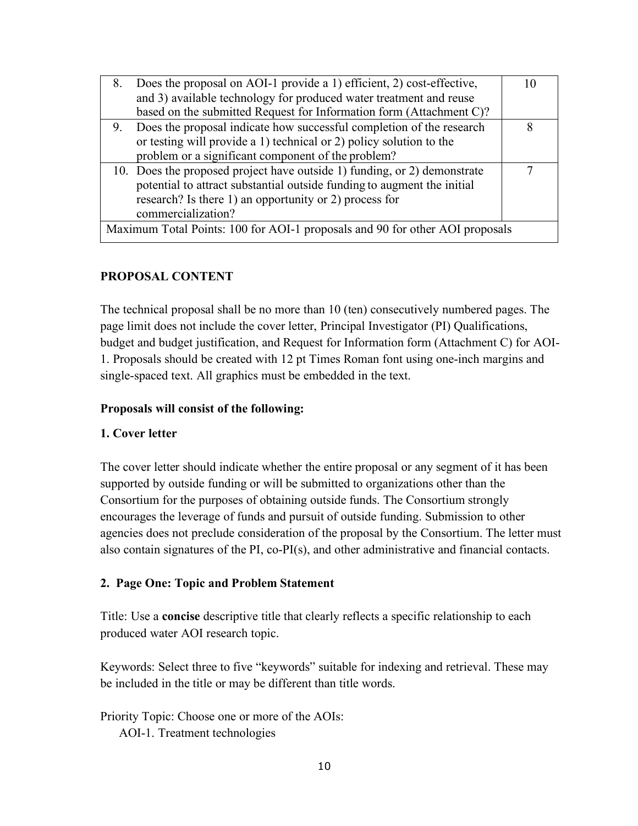| Does the proposal on AOI-1 provide a 1) efficient, 2) cost-effective,<br>8.  |  |
|------------------------------------------------------------------------------|--|
| and 3) available technology for produced water treatment and reuse           |  |
| based on the submitted Request for Information form (Attachment C)?          |  |
| 9. Does the proposal indicate how successful completion of the research      |  |
| or testing will provide a 1) technical or 2) policy solution to the          |  |
| problem or a significant component of the problem?                           |  |
| 10. Does the proposed project have outside 1) funding, or 2) demonstrate     |  |
| potential to attract substantial outside funding to augment the initial      |  |
| research? Is there 1) an opportunity or 2) process for                       |  |
| commercialization?                                                           |  |
| Maximum Total Points: 100 for AOI-1 proposals and 90 for other AOI proposals |  |

### **PROPOSAL CONTENT**

The technical proposal shall be no more than 10 (ten) consecutively numbered pages. The page limit does not include the cover letter, Principal Investigator (PI) Qualifications, budget and budget justification, and Request for Information form (Attachment C) for AOI-1. Proposals should be created with 12 pt Times Roman font using one-inch margins and single-spaced text. All graphics must be embedded in the text.

#### **Proposals will consist of the following:**

#### **1. Cover letter**

The cover letter should indicate whether the entire proposal or any segment of it has been supported by outside funding or will be submitted to organizations other than the Consortium for the purposes of obtaining outside funds. The Consortium strongly encourages the leverage of funds and pursuit of outside funding. Submission to other agencies does not preclude consideration of the proposal by the Consortium. The letter must also contain signatures of the PI, co-PI(s), and other administrative and financial contacts.

#### **2. Page One: Topic and Problem Statement**

Title: Use a **concise** descriptive title that clearly reflects a specific relationship to each produced water AOI research topic.

Keywords: Select three to five "keywords" suitable for indexing and retrieval. These may be included in the title or may be different than title words.

Priority Topic: Choose one or more of the AOIs: AOI-1. Treatment technologies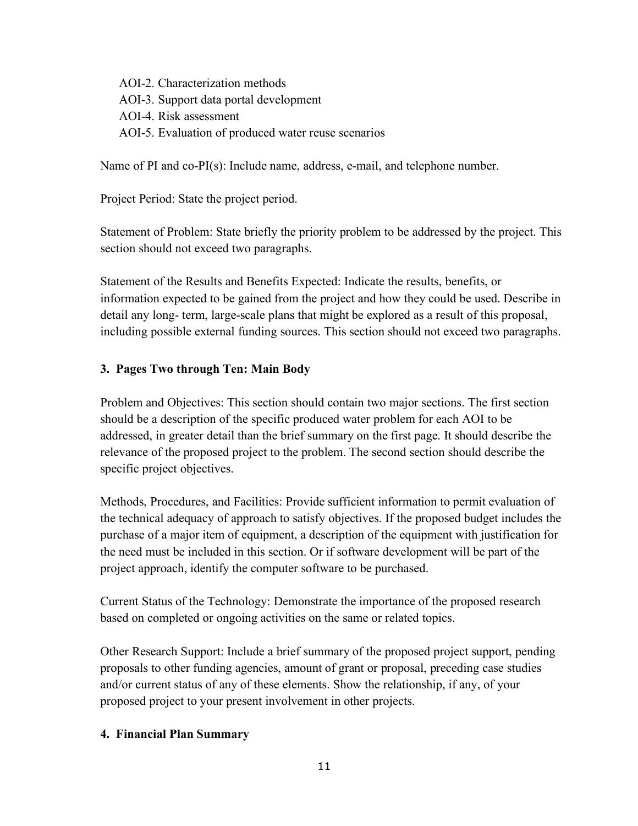AOI-2. Characterization methods AOI-3. Support data portal development AOI-4. Risk assessment AOI-5. Evaluation of produced water reuse scenarios

Name of PI and co-PI(s): Include name, address, e-mail, and telephone number.

Project Period: State the project period.

Statement of Problem: State briefly the priority problem to be addressed by the project. This section should not exceed two paragraphs.

Statement of the Results and Benefits Expected: Indicate the results, benefits, or information expected to be gained from the project and how they could be used. Describe in detail any long- term, large-scale plans that might be explored as a result of this proposal, including possible external funding sources. This section should not exceed two paragraphs.

#### **3. Pages Two through Ten: Main Body**

Problem and Objectives: This section should contain two major sections. The first section should be a description of the specific produced water problem for each AOI to be addressed, in greater detail than the brief summary on the first page. It should describe the relevance of the proposed project to the problem. The second section should describe the specific project objectives.

Methods, Procedures, and Facilities: Provide sufficient information to permit evaluation of the technical adequacy of approach to satisfy objectives. If the proposed budget includes the purchase of a major item of equipment, a description of the equipment with justification for the need must be included in this section. Or if software development will be part of the project approach, identify the computer software to be purchased.

Current Status of the Technology: Demonstrate the importance of the proposed research based on completed or ongoing activities on the same or related topics.

Other Research Support: Include a brief summary of the proposed project support, pending proposals to other funding agencies, amount of grant or proposal, preceding case studies and/or current status of any of these elements. Show the relationship, if any, of your proposed project to your present involvement in other projects.

#### **4. Financial Plan Summary**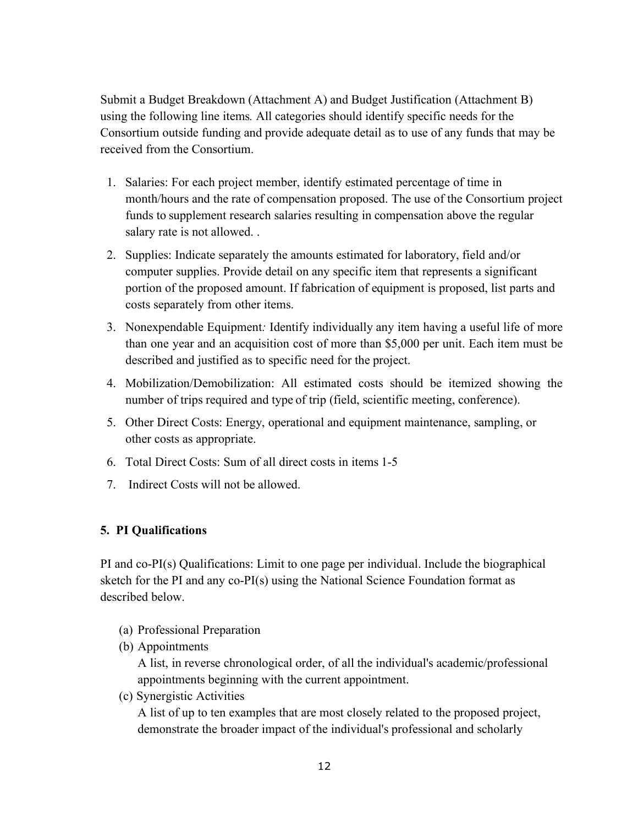Submit a Budget Breakdown (Attachment A) and Budget Justification (Attachment B) using the following line items*.* All categories should identify specific needs for the Consortium outside funding and provide adequate detail as to use of any funds that may be received from the Consortium.

- 1. Salaries: For each project member, identify estimated percentage of time in month/hours and the rate of compensation proposed. The use of the Consortium project funds to supplement research salaries resulting in compensation above the regular salary rate is not allowed. .
- 2. Supplies: Indicate separately the amounts estimated for laboratory, field and/or computer supplies. Provide detail on any specific item that represents a significant portion of the proposed amount. If fabrication of equipment is proposed, list parts and costs separately from other items.
- 3. Nonexpendable Equipment*:* Identify individually any item having a useful life of more than one year and an acquisition cost of more than \$5,000 per unit. Each item must be described and justified as to specific need for the project.
- 4. Mobilization/Demobilization: All estimated costs should be itemized showing the number of trips required and type of trip (field, scientific meeting, conference).
- 5. Other Direct Costs: Energy, operational and equipment maintenance, sampling, or other costs as appropriate.
- 6. Total Direct Costs: Sum of all direct costs in items 1-5
- 7. Indirect Costs will not be allowed.

### **5. PI Qualifications**

PI and co-PI(s) Qualifications: Limit to one page per individual. Include the biographical sketch for the PI and any co-PI(s) using the National Science Foundation format as described below.

- (a) Professional Preparation
- (b) Appointments

A list, in reverse chronological order, of all the individual's academic/professional appointments beginning with the current appointment.

(c) Synergistic Activities

A list of up to ten examples that are most closely related to the proposed project, demonstrate the broader impact of the individual's professional and scholarly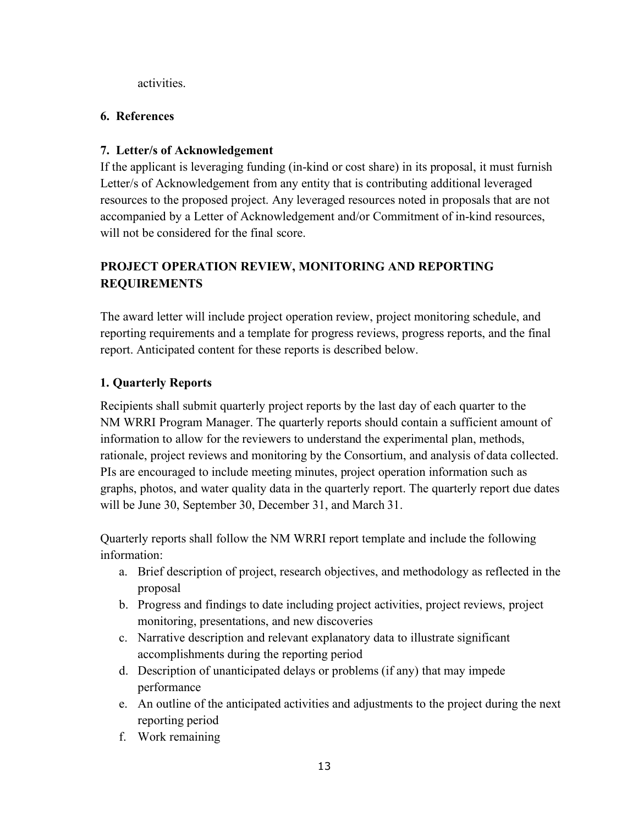activities.

### **6. References**

## **7. Letter/s of Acknowledgement**

If the applicant is leveraging funding (in-kind or cost share) in its proposal, it must furnish Letter/s of Acknowledgement from any entity that is contributing additional leveraged resources to the proposed project. Any leveraged resources noted in proposals that are not accompanied by a Letter of Acknowledgement and/or Commitment of in-kind resources, will not be considered for the final score.

## **PROJECT OPERATION REVIEW, MONITORING AND REPORTING REQUIREMENTS**

The award letter will include project operation review, project monitoring schedule, and reporting requirements and a template for progress reviews, progress reports, and the final report. Anticipated content for these reports is described below.

## **1. Quarterly Reports**

Recipients shall submit quarterly project reports by the last day of each quarter to the NM WRRI Program Manager. The quarterly reports should contain a sufficient amount of information to allow for the reviewers to understand the experimental plan, methods, rationale, project reviews and monitoring by the Consortium, and analysis of data collected. PIs are encouraged to include meeting minutes, project operation information such as graphs, photos, and water quality data in the quarterly report. The quarterly report due dates will be June 30, September 30, December 31, and March 31.

Quarterly reports shall follow the NM WRRI report template and include the following information:

- a. Brief description of project, research objectives, and methodology as reflected in the proposal
- b. Progress and findings to date including project activities, project reviews, project monitoring, presentations, and new discoveries
- c. Narrative description and relevant explanatory data to illustrate significant accomplishments during the reporting period
- d. Description of unanticipated delays or problems (if any) that may impede performance
- e. An outline of the anticipated activities and adjustments to the project during the next reporting period
- f. Work remaining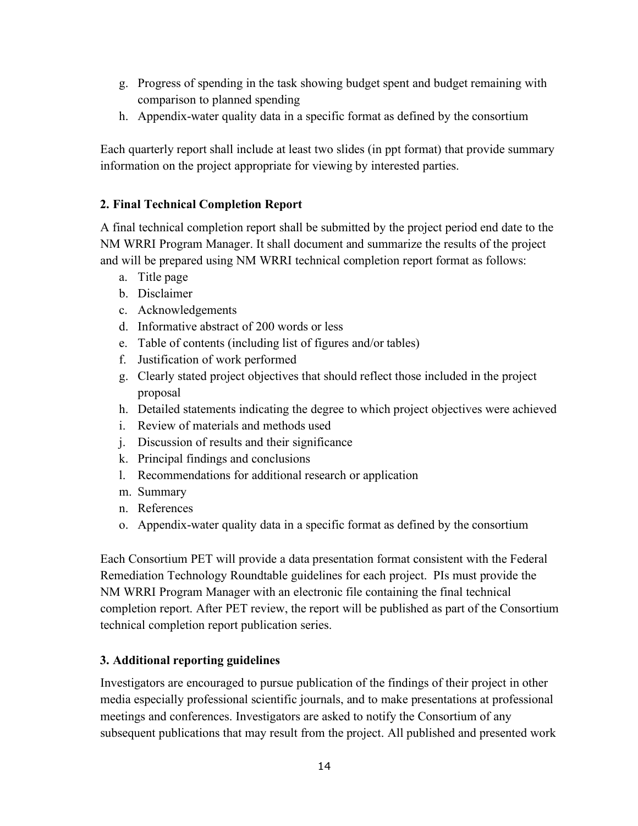- g. Progress of spending in the task showing budget spent and budget remaining with comparison to planned spending
- h. Appendix-water quality data in a specific format as defined by the consortium

Each quarterly report shall include at least two slides (in ppt format) that provide summary information on the project appropriate for viewing by interested parties.

## **2. Final Technical Completion Report**

A final technical completion report shall be submitted by the project period end date to the NM WRRI Program Manager. It shall document and summarize the results of the project and will be prepared using NM WRRI technical completion report format as follows:

- a. Title page
- b. Disclaimer
- c. Acknowledgements
- d. Informative abstract of 200 words or less
- e. Table of contents (including list of figures and/or tables)
- f. Justification of work performed
- g. Clearly stated project objectives that should reflect those included in the project proposal
- h. Detailed statements indicating the degree to which project objectives were achieved
- i. Review of materials and methods used
- j. Discussion of results and their significance
- k. Principal findings and conclusions
- l. Recommendations for additional research or application
- m. Summary
- n. References
- o. Appendix-water quality data in a specific format as defined by the consortium

Each Consortium PET will provide a data presentation format consistent with the Federal Remediation Technology Roundtable guidelines for each project. PIs must provide the NM WRRI Program Manager with an electronic file containing the final technical completion report. After PET review, the report will be published as part of the Consortium technical completion report publication series.

## **3. Additional reporting guidelines**

Investigators are encouraged to pursue publication of the findings of their project in other media especially professional scientific journals, and to make presentations at professional meetings and conferences. Investigators are asked to notify the Consortium of any subsequent publications that may result from the project. All published and presented work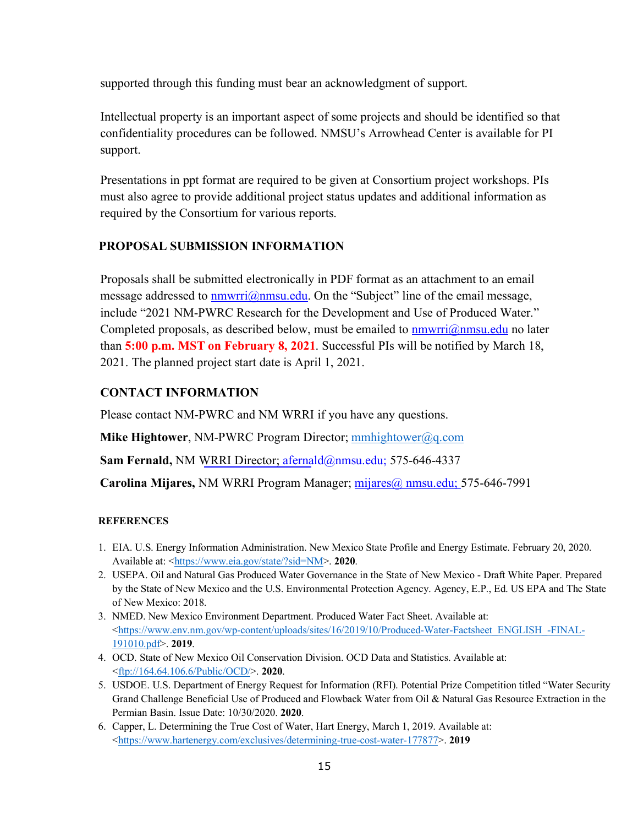supported through this funding must bear an acknowledgment of support.

Intellectual property is an important aspect of some projects and should be identified so that confidentiality procedures can be followed. NMSU's Arrowhead Center is available for PI support.

Presentations in ppt format are required to be given at Consortium project workshops. PIs must also agree to provide additional project status updates and additional information as required by the Consortium for various reports.

### **PROPOSAL SUBMISSION INFORMATION**

Proposals shall be submitted electronically in PDF format as an attachment to an email message addressed to  $\frac{numvri(@nmsu.edu. On the "Subject" line of the email message,$ include "2021 NM-PWRC Research for the Development and Use of Produced Water." Completed proposals, as described below, must be emailed to  $\frac{mmv}{mmmsu}$ .edu no later than **5:00 p.m. MST on February 8, 2021**. Successful PIs will be notified by March 18, 2021. The planned project start date is April 1, 2021.

### **CONTACT INFORMATION**

Please contact NM-PWRC and NM WRRI if you have any questions.

**Mike Hightower, NM-PWRC Program Director; mmhightower@q.com** 

**Sam Fernald,** NM WRRI Director; afernald@nmsu.edu; 575-646-4337

**Carolina Mijares,** NM WRRI Program Manager; mijares@ nmsu.edu; 575-646-7991

#### **REFERENCES**

- 1. EIA. U.S. Energy Information Administration. New Mexico State Profile and Energy Estimate. February 20, 2020. Available at: <https://www.eia.gov/state/?sid=NM>. **2020**.
- 2. USEPA. Oil and Natural Gas Produced Water Governance in the State of New Mexico Draft White Paper. Prepared by the State of New Mexico and the U.S. Environmental Protection Agency. Agency, E.P., Ed. US EPA and The State of New Mexico: 2018.
- 3. NMED. New Mexico Environment Department. Produced Water Fact Sheet. Available at:  $\lt$ https://www.env.nm.gov/wp-content/uploads/sites/16/2019/10/Produced-Water-Factsheet\_ENGLISH\_-FINAL-191010.pdf>. **2019**.
- 4. OCD. State of New Mexico Oil Conservation Division. OCD Data and Statistics. Available at: <ftp://164.64.106.6/Public/OCD/>. **2020**.
- 5. USDOE. U.S. Department of Energy Request for Information (RFI). Potential Prize Competition titled "Water Security Grand Challenge Beneficial Use of Produced and Flowback Water from Oil & Natural Gas Resource Extraction in the Permian Basin. Issue Date: 10/30/2020. **2020**.
- 6. Capper, L. Determining the True Cost of Water, Hart Energy, March 1, 2019. Available at: <https://www.hartenergy.com/exclusives/determining-true-cost-water-177877>. **2019**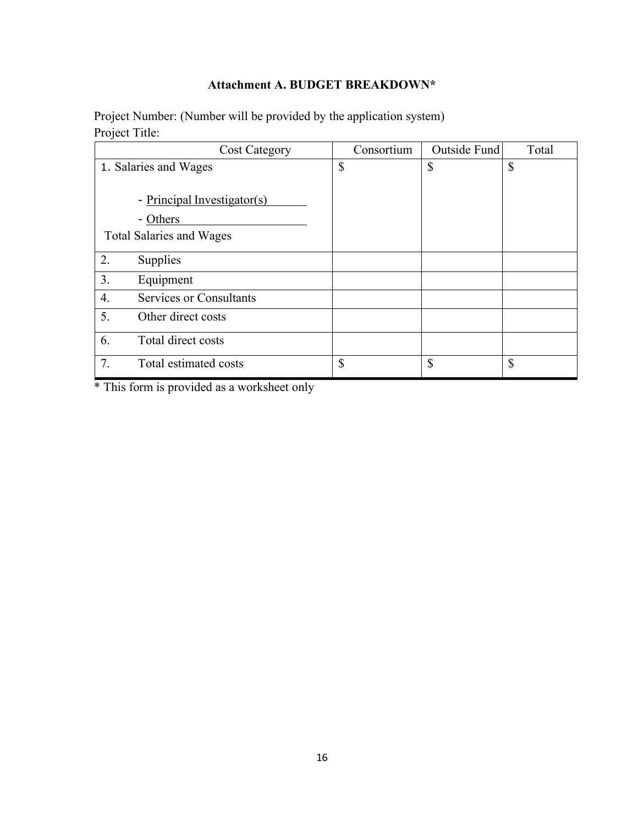## **Attachment A. BUDGET BREAKDOWN\***

Project Number: (Number will be provided by the application system) Project Title:

| <b>Cost Category</b>                 | Consortium | Outside Fund | Total        |
|--------------------------------------|------------|--------------|--------------|
| 1. Salaries and Wages                | \$         | \$           | \$           |
|                                      |            |              |              |
| - Principal Investigator(s)          |            |              |              |
| - Others                             |            |              |              |
| <b>Total Salaries and Wages</b>      |            |              |              |
| 2.<br>Supplies                       |            |              |              |
| 3.<br>Equipment                      |            |              |              |
| <b>Services or Consultants</b><br>4. |            |              |              |
| 5.<br>Other direct costs             |            |              |              |
| 6.<br>Total direct costs             |            |              |              |
| 7.<br>Total estimated costs          | \$         | \$           | $\mathbb{S}$ |

\* This form is provided as a worksheet only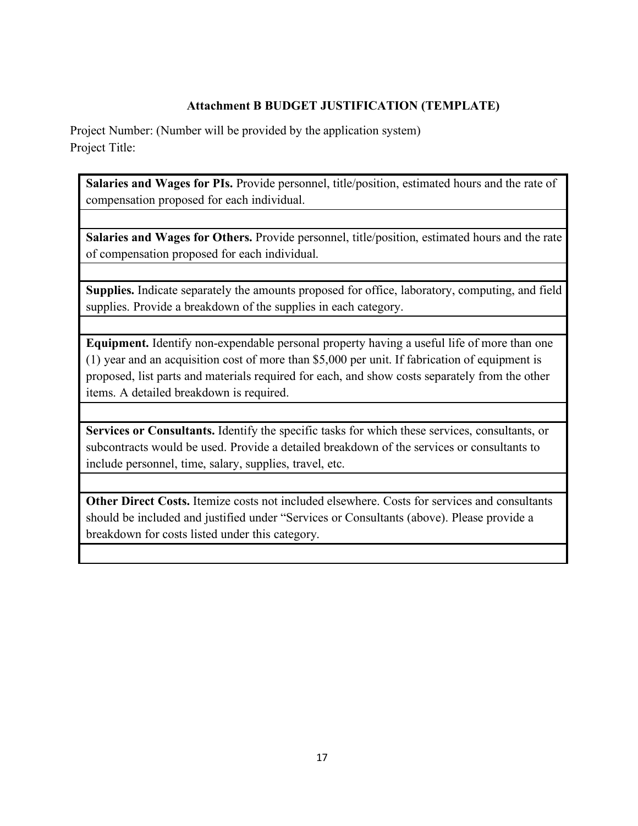## **Attachment B BUDGET JUSTIFICATION (TEMPLATE)**

Project Number: (Number will be provided by the application system) Project Title:

**Salaries and Wages for PIs.** Provide personnel, title/position, estimated hours and the rate of compensation proposed for each individual.

**Salaries and Wages for Others.** Provide personnel, title/position, estimated hours and the rate of compensation proposed for each individual.

**Supplies.** Indicate separately the amounts proposed for office, laboratory, computing, and field supplies. Provide a breakdown of the supplies in each category.

**Equipment.** Identify non-expendable personal property having a useful life of more than one (1) year and an acquisition cost of more than \$5,000 per unit. If fabrication of equipment is proposed, list parts and materials required for each, and show costs separately from the other items. A detailed breakdown is required.

**Services or Consultants.** Identify the specific tasks for which these services, consultants, or subcontracts would be used. Provide a detailed breakdown of the services or consultants to include personnel, time, salary, supplies, travel, etc.

**Other Direct Costs.** Itemize costs not included elsewhere. Costs for services and consultants should be included and justified under "Services or Consultants (above). Please provide a breakdown for costs listed under this category.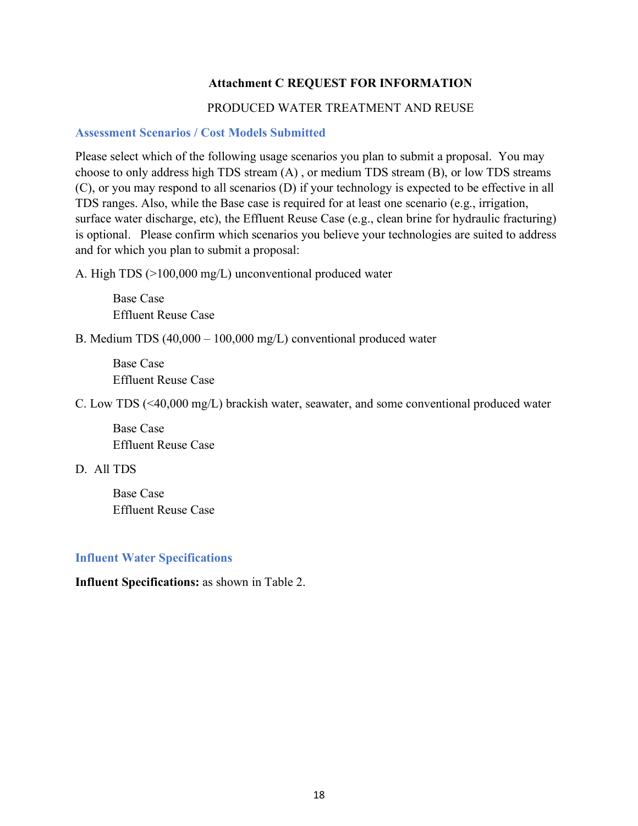### **Attachment C REQUEST FOR INFORMATION**

#### PRODUCED WATER TREATMENT AND REUSE

### **Assessment Scenarios / Cost Models Submitted**

Please select which of the following usage scenarios you plan to submit a proposal. You may choose to only address high TDS stream (A) , or medium TDS stream (B), or low TDS streams (C), or you may respond to all scenarios (D) if your technology is expected to be effective in all TDS ranges. Also, while the Base case is required for at least one scenario (e.g., irrigation, surface water discharge, etc), the Effluent Reuse Case (e.g., clean brine for hydraulic fracturing) is optional. Please confirm which scenarios you believe your technologies are suited to address and for which you plan to submit a proposal:

A. High TDS (>100,000 mg/L) unconventional produced water

 Base Case Effluent Reuse Case

B. Medium TDS (40,000 – 100,000 mg/L) conventional produced water

 Base Case Effluent Reuse Case

C. Low TDS (<40,000 mg/L) brackish water, seawater, and some conventional produced water

 Base Case Effluent Reuse Case

D. All TDS

 Base Case Effluent Reuse Case

#### **Influent Water Specifications**

**Influent Specifications:** as shown in Table 2.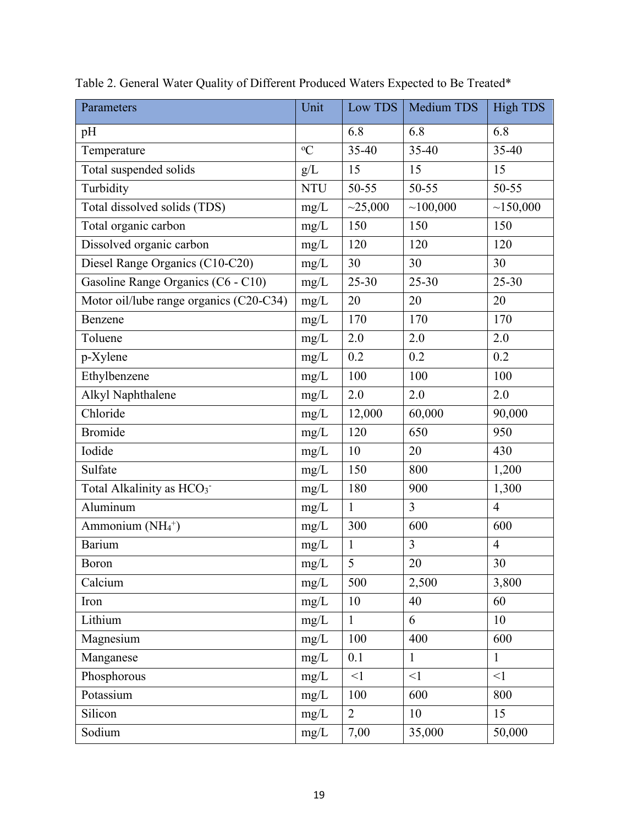| Parameters                               | Unit          | Low TDS        | Medium TDS     | <b>High TDS</b> |
|------------------------------------------|---------------|----------------|----------------|-----------------|
| pH                                       |               | 6.8            | 6.8            | 6.8             |
| Temperature                              | ${}^{\circ}C$ | 35-40          | 35-40          | 35-40           |
| Total suspended solids                   | g/L           | 15             | 15             | 15              |
| Turbidity                                | <b>NTU</b>    | 50-55          | 50-55          | 50-55           |
| Total dissolved solids (TDS)             | mg/L          | ~25,000        | ~100,000       | ~150,000        |
| Total organic carbon                     | mg/L          | 150            | 150            | 150             |
| Dissolved organic carbon                 | mg/L          | 120            | 120            | 120             |
| Diesel Range Organics (C10-C20)          | mg/L          | 30             | 30             | 30              |
| Gasoline Range Organics (C6 - C10)       | $mg/L$        | $25 - 30$      | $25 - 30$      | $25 - 30$       |
| Motor oil/lube range organics (C20-C34)  | mg/L          | 20             | 20             | 20              |
| Benzene                                  | mg/L          | 170            | 170            | 170             |
| Toluene                                  | mg/L          | 2.0            | 2.0            | 2.0             |
| p-Xylene                                 | mg/L          | 0.2            | 0.2            | 0.2             |
| Ethylbenzene                             | mg/L          | 100            | 100            | 100             |
| Alkyl Naphthalene                        | mg/L          | 2.0            | 2.0            | 2.0             |
| Chloride                                 | mg/L          | 12,000         | 60,000         | 90,000          |
| <b>Bromide</b>                           | mg/L          | 120            | 650            | 950             |
| Iodide                                   | mg/L          | 10             | 20             | 430             |
| Sulfate                                  | mg/L          | 150            | 800            | 1,200           |
| Total Alkalinity as HCO <sub>3</sub> -   | mg/L          | 180            | 900            | 1,300           |
| Aluminum                                 | mg/L          | $\mathbf{1}$   | $\overline{3}$ | $\overline{4}$  |
| Ammonium (NH <sub>4</sub> <sup>+</sup> ) | mg/L          | 300            | 600            | 600             |
| <b>Barium</b>                            | mg/L          | $\mathbf{1}$   | $\overline{3}$ | $\overline{4}$  |
| Boron                                    | mg/L          | 5              | 20             | 30              |
| Calcium                                  | mg/L          | 500            | 2,500          | 3,800           |
| Iron                                     | mg/L          | 10             | 40             | 60              |
| Lithium                                  | mg/L          | $\mathbf{1}$   | 6              | 10              |
| Magnesium                                | mg/L          | 100            | 400            | 600             |
| Manganese                                | mg/L          | 0.1            | $\mathbf{1}$   | $\mathbf{1}$    |
| Phosphorous                              | mg/L          | <1             | $\leq$ 1       | $<$ 1           |
| Potassium                                | mg/L          | 100            | 600            | 800             |
| Silicon                                  | mg/L          | $\overline{2}$ | 10             | 15              |
| Sodium                                   | mg/L          | 7,00           | 35,000         | 50,000          |

|  |  |  |  | Table 2. General Water Quality of Different Produced Waters Expected to Be Treated* |  |  |  |  |  |
|--|--|--|--|-------------------------------------------------------------------------------------|--|--|--|--|--|
|--|--|--|--|-------------------------------------------------------------------------------------|--|--|--|--|--|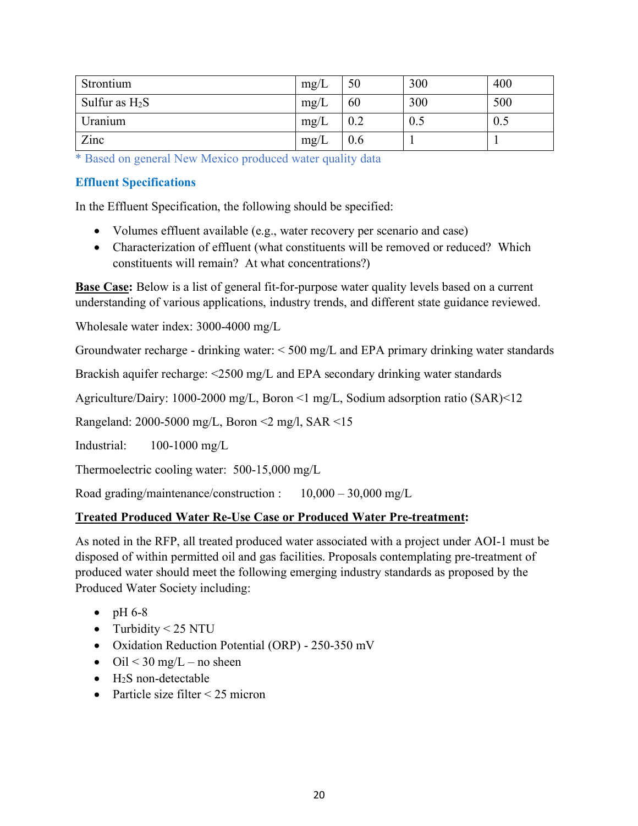| Strontium        | mg/L | 50  | 300 | 400 |
|------------------|------|-----|-----|-----|
| Sulfur as $H_2S$ | mg/L | 60  | 300 | 500 |
| Uranium          | mg/L | 0.2 | U.J | 0.5 |
| Zinc             | mg/L | 0.6 |     |     |

\* Based on general New Mexico produced water quality data

### **Effluent Specifications**

In the Effluent Specification, the following should be specified:

- Volumes effluent available (e.g., water recovery per scenario and case)
- Characterization of effluent (what constituents will be removed or reduced? Which constituents will remain? At what concentrations?)

**Base Case:** Below is a list of general fit-for-purpose water quality levels based on a current understanding of various applications, industry trends, and different state guidance reviewed.

Wholesale water index: 3000-4000 mg/L

Groundwater recharge - drinking water: < 500 mg/L and EPA primary drinking water standards

Brackish aquifer recharge: <2500 mg/L and EPA secondary drinking water standards

Agriculture/Dairy: 1000-2000 mg/L, Boron <1 mg/L, Sodium adsorption ratio (SAR)<12

Rangeland: 2000-5000 mg/L, Boron <2 mg/l, SAR <15

Industrial: 100-1000 mg/L

Thermoelectric cooling water: 500-15,000 mg/L

Road grading/maintenance/construction : 10,000 – 30,000 mg/L

#### **Treated Produced Water Re-Use Case or Produced Water Pre-treatment:**

As noted in the RFP, all treated produced water associated with a project under AOI-1 must be disposed of within permitted oil and gas facilities. Proposals contemplating pre-treatment of produced water should meet the following emerging industry standards as proposed by the Produced Water Society including:

- pH  $6-8$
- Turbidity  $\leq$  25 NTU
- Oxidation Reduction Potential (ORP) 250-350 mV
- Oil  $\leq$  30 mg/L no sheen
- $\bullet$  H<sub>2</sub>S non-detectable
- Particle size filter  $\leq$  25 micron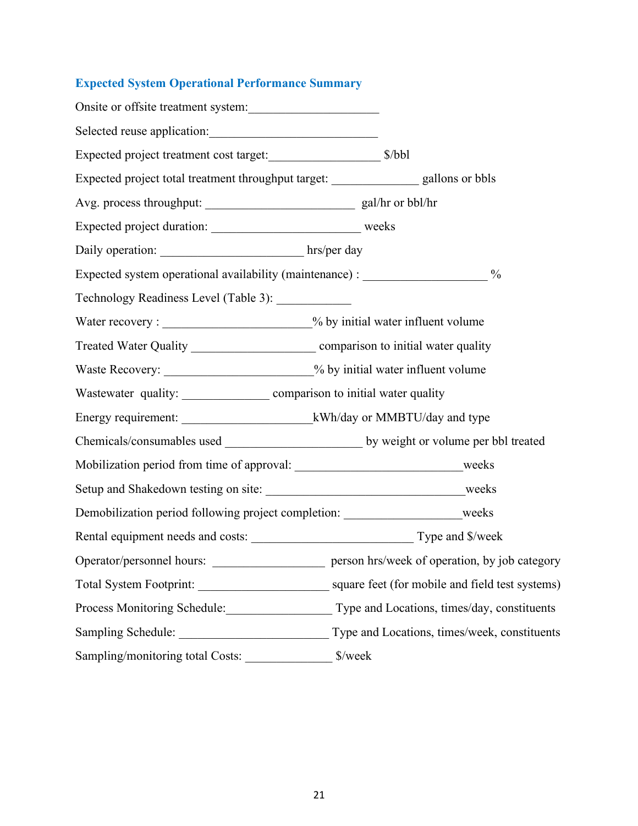# **Expected System Operational Performance Summary**

| Onsite or offsite treatment system:                                                    |                                                                                                  |
|----------------------------------------------------------------------------------------|--------------------------------------------------------------------------------------------------|
| Selected reuse application:                                                            |                                                                                                  |
|                                                                                        |                                                                                                  |
| Expected project total treatment throughput target: __________________ gallons or bbls |                                                                                                  |
|                                                                                        |                                                                                                  |
|                                                                                        |                                                                                                  |
| Daily operation: hrs/per day                                                           |                                                                                                  |
| Expected system operational availability (maintenance) : _______________________       | $\frac{0}{0}$                                                                                    |
| Technology Readiness Level (Table 3): ____________                                     |                                                                                                  |
| Water recovery : _______________________% by initial water influent volume             |                                                                                                  |
|                                                                                        |                                                                                                  |
| Waste Recovery: _______________________% by initial water influent volume              |                                                                                                  |
|                                                                                        |                                                                                                  |
|                                                                                        |                                                                                                  |
|                                                                                        |                                                                                                  |
| Mobilization period from time of approval: ________________________________weeks       |                                                                                                  |
|                                                                                        |                                                                                                  |
| Demobilization period following project completion: ____________________weeks          |                                                                                                  |
|                                                                                        |                                                                                                  |
| Operator/personnel hours:                                                              | person hrs/week of operation, by job category                                                    |
|                                                                                        |                                                                                                  |
|                                                                                        | Process Monitoring Schedule:_________________________Type and Locations, times/day, constituents |
|                                                                                        |                                                                                                  |
| Sampling/monitoring total Costs:                                                       | \$/week                                                                                          |